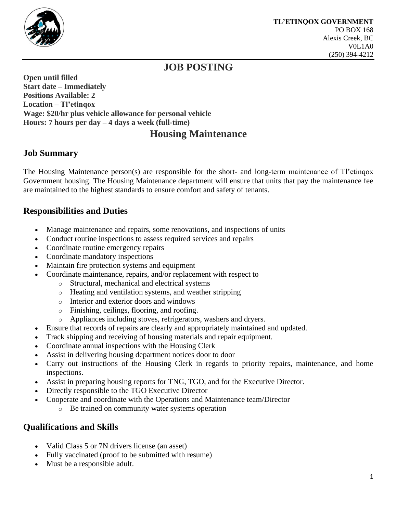

## **JOB POSTING**

**Open until filled Start date – Immediately Positions Available: 2 Location – Tl'etinqox Wage: \$20/hr plus vehicle allowance for personal vehicle Hours: 7 hours per day – 4 days a week (full-time)** 

# **Housing Maintenance**

### **Job Summary**

The Housing Maintenance person(s) are responsible for the short- and long-term maintenance of Tl'etinqox Government housing. The Housing Maintenance department will ensure that units that pay the maintenance fee are maintained to the highest standards to ensure comfort and safety of tenants.

### **Responsibilities and Duties**

- Manage maintenance and repairs, some renovations, and inspections of units
- Conduct routine inspections to assess required services and repairs
- Coordinate routine emergency repairs
- Coordinate mandatory inspections
- Maintain fire protection systems and equipment
- Coordinate maintenance, repairs, and/or replacement with respect to
	- o Structural, mechanical and electrical systems
	- o Heating and ventilation systems, and weather stripping
	- o Interior and exterior doors and windows
	- o Finishing, ceilings, flooring, and roofing.
	- o Appliances including stoves, refrigerators, washers and dryers.
- Ensure that records of repairs are clearly and appropriately maintained and updated.
- Track shipping and receiving of housing materials and repair equipment.
- Coordinate annual inspections with the Housing Clerk
- Assist in delivering housing department notices door to door
- Carry out instructions of the Housing Clerk in regards to priority repairs, maintenance, and home inspections.
- Assist in preparing housing reports for TNG, TGO, and for the Executive Director.
- Directly responsible to the TGO Executive Director
- Cooperate and coordinate with the Operations and Maintenance team/Director
	- o Be trained on community water systems operation

#### **Qualifications and Skills**

- Valid Class 5 or 7N drivers license (an asset)
- Fully vaccinated (proof to be submitted with resume)
- Must be a responsible adult.